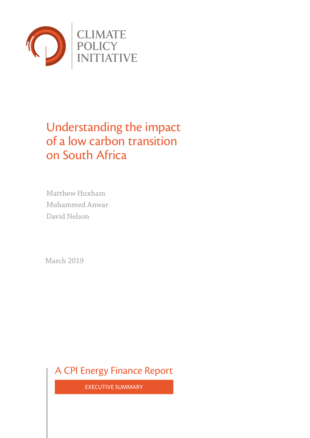

# Understanding the impact of a low carbon transition on South Africa

Matthew Huxham Muhammed Anwar David Nelson

March 2019

A CPI Energy Finance Report

EXECUTIVE SUMMARY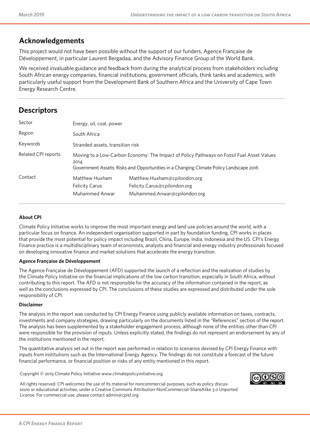### **Acknowledgements**

This project would not have been possible without the support of our funders, Agence Française de Développement, in particular Laurent Bergadaa, and the Advisory Finance Group of the World Bank.

We received invaluable guidance and feedback from during the analytical process from stakeholders including South African energy companies, financial institutions, government officials, think tanks and academics, with particularly useful support from the Development Bank of Southern Africa and the University of Cape Town Energy Research Centre.

### **Descriptors**

| Sector              | Energy, oil, coal, power                                                                                                                                                                    |                                                                                              |  |  |
|---------------------|---------------------------------------------------------------------------------------------------------------------------------------------------------------------------------------------|----------------------------------------------------------------------------------------------|--|--|
| Region              | South Africa                                                                                                                                                                                |                                                                                              |  |  |
| Keywords            | Stranded assets, transition risk                                                                                                                                                            |                                                                                              |  |  |
| Related CPI reports | Moving to a Low-Carbon Economy: The Impact of Policy Pathways on Fossil Fuel Asset Values<br>2014<br>Government Assets: Risks and Opportunities in a Changing Climate Policy Landscape 2016 |                                                                                              |  |  |
| Contact             | Matthew Huxham<br><b>Felicity Carus</b><br>Muhammed Anwar                                                                                                                                   | Matthew.Huxham@cpilondon.org<br>Felicity.Carus@cpilondon.org<br>Muhammed.Anwar@cpilondon.org |  |  |

#### **About CPI**

Climate Policy Initiative works to improve the most important energy and land use policies around the world, with a particular focus on finance. An independent organisation supported in part by foundation funding, CPI works in places that provide the most potential for policy impact including Brazil, China, Europe, India, Indonesia and the US. CPI's Energy Finance practice is a multidisciplinary team of economists, analysts and financial and energy industry professionals focused on developing innovative finance and market solutions that accelerate the energy transition.

#### **Agence Française de Développement**

The Agence Française de Développement (AFD) supported the launch of a reflection and the realization of studies by the Climate Policy Initiative on the financial implications of the low carbon transition, especially in South Africa, without contributing to this report. The AFD is not responsible for the accuracy of the information contained in the report, as well as the conclusions expressed by CPI. The conclusions of these studies are expressed and distributed under the sole responsibility of CPI.

#### **Disclaimer**

The analysis in the report was conducted by CPI Energy Finance using publicly available information on taxes, contracts, investments and company strategies, drawing particularly on the documents listed in the "References" section of the report. The analysis has been supplemented by a stakeholder engagement process, although none of the entities other than CPI were responsible for the provision of inputs. Unless explicitly stated, the findings do not represent an endorsement by any of the institutions mentioned in the report.

The quantitative analysis set out in the report was performed in relation to scenarios devised by CPI Energy Finance with inputs from institutions such as the International Energy Agency. The findings do not constitute a forecast of the future financial performance, or financial position or risks of any entity mentioned in this report.

Copyright © 2019 Climate Policy Initiative [www.climatepolicyinitiative.org](http://www.climatepolicyinitiative.org)



All rights reserved. CPI welcomes the use of its material for noncommercial purposes, such as policy discussions or educational activities, under a Creative Commons Attribution-NonCommercial-ShareAlike 3.0 Unported License. For commercial use, please contact [admin@cpisf.org](mailto:admin@cpisf.org).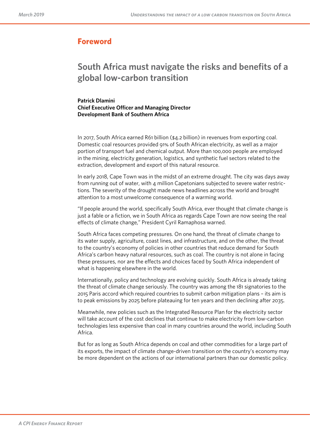### **Foreword**

# **South Africa must navigate the risks and benefits of a global low-carbon transition**

**Patrick Dlamini Chief Executive Officer and Managing Director Development Bank of Southern Africa**

In 2017, South Africa earned R61 billion (\$4.2 billion) in revenues from exporting coal. Domestic coal resources provided 91% of South African electricity, as well as a major portion of transport fuel and chemical output. More than 100,000 people are employed in the mining, electricity generation, logistics, and synthetic fuel sectors related to the extraction, development and export of this natural resource.

In early 2018, Cape Town was in the midst of an extreme drought. The city was days away from running out of water, with 4 million Capetonians subjected to severe water restrictions. The severity of the drought made news headlines across the world and brought attention to a most unwelcome consequence of a warming world.

"If people around the world, specifically South Africa, ever thought that climate change is just a fable or a fiction, we in South Africa as regards Cape Town are now seeing the real efects of climate change," President Cyril Ramaphosa warned.

South Africa faces competing pressures. On one hand, the threat of climate change to its water supply, agriculture, coast lines, and infrastructure, and on the other, the threat to the country's economy of policies in other countries that reduce demand for South Africa's carbon heavy natural resources, such as coal. The country is not alone in facing these pressures, nor are the efects and choices faced by South Africa independent of what is happening elsewhere in the world.

Internationally, policy and technology are evolving quickly. South Africa is already taking the threat of climate change seriously. The country was among the 181 signatories to the 2015 Paris accord which required countries to submit carbon mitigation plans – its aim is to peak emissions by 2025 before plateauing for ten years and then declining after 2035.

Meanwhile, new policies such as the Integrated Resource Plan for the electricity sector will take account of the cost declines that continue to make electricity from low-carbon technologies less expensive than coal in many countries around the world, including South Africa.

But for as long as South Africa depends on coal and other commodities for a large part of its exports, the impact of climate change-driven transition on the country's economy may be more dependent on the actions of our international partners than our domestic policy.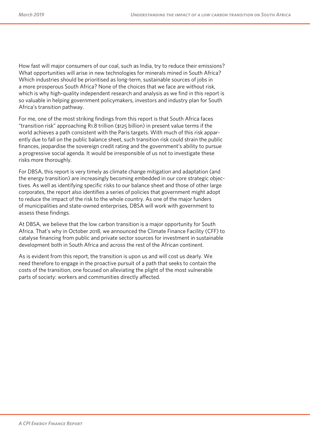How fast will major consumers of our coal, such as India, try to reduce their emissions? What opportunities will arise in new technologies for minerals mined in South Africa? Which industries should be prioritised as long-term, sustainable sources of jobs in a more prosperous South Africa? None of the choices that we face are without risk, which is why high-quality independent research and analysis as we find in this report is so valuable in helping government policymakers, investors and industry plan for South Africa's transition pathway.

For me, one of the most striking findings from this report is that South Africa faces "transition risk" approaching R1.8 trillion (\$125 billion) in present value terms if the world achieves a path consistent with the Paris targets. With much of this risk apparently due to fall on the public balance sheet, such transition risk could strain the public finances, jeopardise the sovereign credit rating and the government's ability to pursue a progressive social agenda. It would be irresponsible of us not to investigate these risks more thoroughly.

For DBSA, this report is very timely as climate change mitigation and adaptation (and the energy transition) are increasingly becoming embedded in our core strategic objectives. As well as identifying specific risks to our balance sheet and those of other large corporates, the report also identifies a series of policies that government might adopt to reduce the impact of the risk to the whole country. As one of the major funders of municipalities and state-owned enterprises, DBSA will work with government to assess these findings.

At DBSA, we believe that the low carbon transition is a major opportunity for South Africa. That's why in October 2018, we announced the Climate Finance Facility (CFF) to catalyse financing from public and private sector sources for investment in sustainable development both in South Africa and across the rest of the African continent.

As is evident from this report, the transition is upon us and will cost us dearly. We need therefore to engage in the proactive pursuit of a path that seeks to contain the costs of the transition, one focused on alleviating the plight of the most vulnerable parts of society: workers and communities directly afected.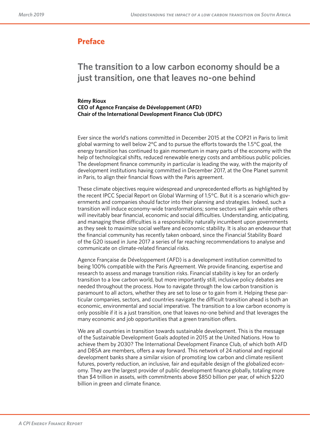### **Preface**

# **The transition to a low carbon economy should be a just transition, one that leaves no-one behind**

#### **Rémy Rioux CEO of Agence Française de Développement (AFD) Chair of the International Development Finance Club (IDFC)**

Ever since the world's nations committed in December 2015 at the COP21 in Paris to limit global warming to well below  $2^{\circ}$ C and to pursue the efforts towards the 1.5 $^{\circ}$ C goal, the energy transition has continued to gain momentum in many parts of the economy with the help of technological shifts, reduced renewable energy costs and ambitious public policies. The development finance community in particular is leading the way, with the majority of development institutions having committed in December 2017, at the One Planet summit in Paris, to align their financial flows with the Paris agreement.

These climate objectives require widespread and unprecedented eforts as highlighted by the recent IPCC Special Report on Global Warming of 1.5°C. But it is a scenario which governments and companies should factor into their planning and strategies. Indeed, such a transition will induce economy-wide transformations; some sectors will gain while others will inevitably bear financial, economic and social difficulties. Understanding, anticipating, and managing these difficulties is a responsibility naturally incumbent upon governments as they seek to maximize social welfare and economic stability. It is also an endeavour that the financial community has recently taken onboard, since the Financial Stability Board of the G20 issued in June 2017 a series of far reaching recommendations to analyse and communicate on climate-related financial risks.

Agence Française de Développement (AFD) is a development institution committed to being 100% compatible with the Paris Agreement. We provide financing, expertise and research to assess and manage transition risks. Financial stability is key for an orderly transition to a low carbon world, but more importantly still, inclusive policy debates are needed throughout the process. How to navigate through the low carbon transition is paramount to all actors, whether they are set to lose or to gain from it. Helping these particular companies, sectors, and countries navigate the difficult transition ahead is both an economic, environmental and social imperative. The transition to a low carbon economy is only possible if it is a just transition, one that leaves no-one behind and that leverages the many economic and job opportunities that a green transition offers.

We are all countries in transition towards sustainable development. This is the message of the Sustainable Development Goals adopted in 2015 at the United Nations. How to achieve them by 2030? The International Development Finance Club, of which both AFD and DBSA are members, offers a way forward. This network of 24 national and regional development banks share a similar vision of promoting low carbon and climate resilient futures, poverty reduction, an inclusive, fair and equitable design of the globalized economy. They are the largest provider of public development finance globally, totaling more than \$4 trillion in assets, with commitments above \$850 billion per year, of which \$220 billion in green and climate finance.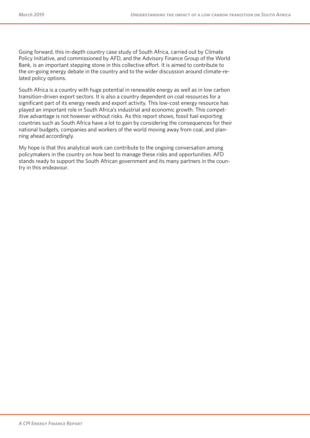Going forward, this in-depth country case study of South Africa, carried out by Climate Policy Initiative, and commissioned by AFD, and the Advisory Finance Group of the World Bank, is an important stepping stone in this collective effort. It is aimed to contribute to the on-going energy debate in the country and to the wider discussion around climate-related policy options.

South Africa is a country with huge potential in renewable energy as well as in low carbon transition-driven export sectors. It is also a country dependent on coal resources for a significant part of its energy needs and export activity. This low-cost energy resource has played an important role in South Africa's industrial and economic growth. This competitive advantage is not however without risks. As this report shows, fossil fuel exporting countries such as South Africa have a lot to gain by considering the consequences for their national budgets, companies and workers of the world moving away from coal, and planning ahead accordingly.

My hope is that this analytical work can contribute to the ongoing conversation among policymakers in the country on how best to manage these risks and opportunities. AFD stands ready to support the South African government and its many partners in the country in this endeavour.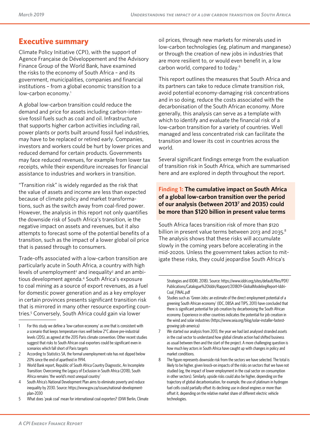## **Executive summary**

Climate Policy Initiative (CPI), with the support of Agence Française de Développement and the Advisory Finance Group of the World Bank*,* have examined the risks to the economy of South Africa – and its government, municipalities, companies and financial institutions – from a global economic transition to a low-carbon economy.<sup>1</sup>

A global low-carbon transition could reduce the demand and price for assets including carbon-intensive fossil fuels such as coal and oil. Infrastructure that supports higher carbon activities including rail, power plants or ports built around fossil fuel industries, may have to be replaced or retired early. Companies, investors and workers could be hurt by lower prices and reduced demand for certain products. Governments may face reduced revenues, for example from lower tax receipts, while their expenditure increases for financial assistance to industries and workers in transition.

"Transition risk" is widely regarded as the risk that the value of assets and income are less than expected because of climate policy and market transformations, such as the switch away from coal-fired power. However, the analysis in this report not only quantifies the downside risk of South Africa's transition, ie the negative impact on assets and revenues, but it also attempts to forecast some of the potential benefits of a transition, such as the impact of a lower global oil price that is passed through to consumers.

Trade-offs associated with a low-carbon transition are particularly acute in South Africa, a country with high levels of unemployment<sup>2</sup> and inequality<sup>3</sup> and an ambitious development agenda.<sup>4</sup> South Africa's exposure to coal mining as a source of export revenues, as a fuel for domestic power generation and as a key employer in certain provinces presents significant transition risk that is mirrored in many other resource exporting countries.<sup>5</sup> Conversely, South Africa could gain via lower

- 2 According to Statistics SA, the formal unemployment rate has not dipped below 20% since the end of apartheid in 1994.
- 3 World Bank report, Republic of South Africa Country Diagnostic, An Incomplete Transition: Overcoming the Legacy of Exclusion in South Africa (2018), South Africa remains 'the world's most unequal country'
- 4 South Africa's National Development Plan aims to eliminate poverty and reduce inequality by 2030. Source: [https://www.gov.za/issues/national-development](https://www.gov.za/issues/national-development-plan-2030)[plan-2030](https://www.gov.za/issues/national-development-plan-2030)
- 5 What does 'peak coal' mean for international coal exporters? (DIW Berlin, Climate

oil prices, through new markets for minerals used in low-carbon technologies (eg, platinum and manganese) or through the creation of new jobs in industries that are more resilient to, or would even benefit in, a low carbon world, compared to today.<sup>6</sup>

This report outlines the measures that South Africa and its partners can take to reduce climate transition risk, avoid potential economy-damaging risk concentrations and in so doing, reduce the costs associated with the decarbonisation of the South African economy. More generally, this analysis can serve as a template with which to identify and evaluate the financial risk of a low-carbon transition for a variety of countries. Well managed and less concentrated risk can facilitate the transition and lower its cost in countries across the world.

Several significant findings emerge from the evaluation of transition risk in South Africa, which are summarised here and are explored in depth throughout the report.

#### **Finding 1: The cumulative impact on South Africa of a global low-carbon transition over the period of our analysis (between 20137 and 2035) could be more than \$120 billion in present value terms**

South Africa faces transition risk of more than \$120 billion in present value terms between 2013 and 2035.<sup>8</sup> The analysis shows that these risks will accumulate slowly in the coming years before accelerating in the mid-2020s. Unless the government takes action to mitigate these risks, they could jeopardise South Africa's

Strategies and IDDRI, 2018). Source: [https://www.iddri.org/sites/default/files/PDF/](https://www.iddri.org/sites/default/files/PDF/Publications/Catalogue%20Iddri/Rapport/201809-GlobalModelingReport-Iddri-Coal_FINAL.pdf) [Publications/Catalogue%20Iddri/Rapport/201809-GlobalModelingReport-Iddri-](https://www.iddri.org/sites/default/files/PDF/Publications/Catalogue%20Iddri/Rapport/201809-GlobalModelingReport-Iddri-Coal_FINAL.pdf)[Coal\\_FINAL.pdf](https://www.iddri.org/sites/default/files/PDF/Publications/Catalogue%20Iddri/Rapport/201809-GlobalModelingReport-Iddri-Coal_FINAL.pdf)

- 6 Studies such as 'Green Jobs: an estimate of the direct employment potential of a greening South African economy' (IDC, DBSA and TIPS, 2011) have concluded that there is significant potential for job creation by decarbonising the South African economy. Experience in other countries indicates the potential for job creation in the wind and solar industries [\(https://www.seia.org/blog/solar-installer-fastest](https://www.seia.org/blog/solar-installer-fastest-growing-job-america)[growing-job-america](https://www.seia.org/blog/solar-installer-fastest-growing-job-america))
- We started our analysis from 2013, the year we had last analysed stranded assets in the coal sector to understand how global climate action had shifted business as usual between then and the start of the project. A more challenging question is how much key actors in South Africa have caught up with changes in policy and market conditions.
- 8 The figure represents downside risk from the sectors we have selected. The total is likely to be higher, given knock-on impacts of the risks on sectors that we have not studied (eg, the impact of lower employment in the coal sector on consumption in other sectors). Similarly, upside risks could also be higher, depending on the trajectory of global decarbonisation, for example, the use of platinum in hydrogen fuel cells could partially offset its declining use in diesel engines or more than offset it, depending on the relative market share of different electric vehicle technologies.

<sup>1</sup> For this study we define a 'low-carbon economy' as one that is consistent with a scenario that keeps temperature rises well below 2°C above pre-industrial levels (2DS), as agreed at the 2015 Paris climate convention. Other recent studies suggest that risks to South African coal exporters could be significant even in scenarios which fall short of Paris targets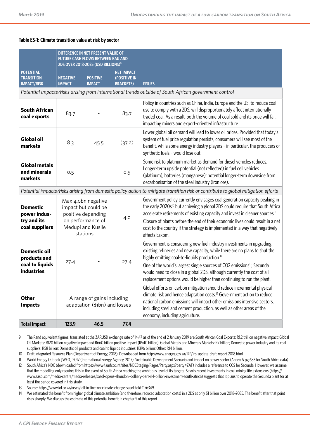#### **Table ES-1: Climate transition value at risk by sector**

|                                                                                                       | DIFFERENCE IN NET PRESENT VALUE OF<br><b>FUTURE CASH FLOWS BETWEEN BAU AND</b><br>2DS OVER 2018-2035 (USD BILLIONS) <sup>9</sup> |                                  |                                                       |                                                                                                                                                                                                                                                                                                                                                                                                                                                           |  |  |
|-------------------------------------------------------------------------------------------------------|----------------------------------------------------------------------------------------------------------------------------------|----------------------------------|-------------------------------------------------------|-----------------------------------------------------------------------------------------------------------------------------------------------------------------------------------------------------------------------------------------------------------------------------------------------------------------------------------------------------------------------------------------------------------------------------------------------------------|--|--|
| <b>POTENTIAL</b><br><b>TRANSITION</b><br><b>IMPACT/RISK</b>                                           | <b>NEGATIVE</b><br><b>IMPACT</b>                                                                                                 | <b>POSITIVE</b><br><b>IMPACT</b> | <b>NET IMPACT</b><br>(POSITIVE IN<br><b>BRACKETS)</b> | <b>ISSUES</b>                                                                                                                                                                                                                                                                                                                                                                                                                                             |  |  |
| Potential impacts/risks arising from international trends outside of South African government control |                                                                                                                                  |                                  |                                                       |                                                                                                                                                                                                                                                                                                                                                                                                                                                           |  |  |
| <b>South African</b><br>coal exports                                                                  | 83.7                                                                                                                             | 83.7                             |                                                       | Policy in countries such as China, India, Europe and the US, to reduce coal<br>use to comply with a 2DS, will disproportionately affect internationally<br>traded coal. As a result, both the volume of coal sold and its price will fall,<br>impacting miners and export-oriented infrastructure                                                                                                                                                         |  |  |
| <b>Global oil</b><br>markets                                                                          | 8.3                                                                                                                              | 45.5                             | (37.2)                                                | Lower global oil demand will lead to lower oil prices. Provided that today's<br>system of fuel price regulation persists, consumers will see most of the<br>benefit, while some energy industry players - in particular, the producers of<br>synthetic fuels - would lose out.                                                                                                                                                                            |  |  |
| <b>Global metals</b><br>and minerals<br>markets                                                       | 0.5                                                                                                                              |                                  | 0.5                                                   | Some risk to platinum market as demand for diesel vehicles reduces.<br>Longer-term upside potential (not reflected) in fuel cell vehicles<br>(platinum), batteries (manganese); potential longer-term downside from<br>decarbonisation of the steel industry (iron ore).                                                                                                                                                                                  |  |  |
|                                                                                                       |                                                                                                                                  |                                  |                                                       | Potential impacts/risks arising from domestic policy action to mitigate transition risk or contribute to global mitigation efforts                                                                                                                                                                                                                                                                                                                        |  |  |
| <b>Domestic</b><br>power indus-<br>try and its<br>coal suppliers                                      | Max 4.0bn negative<br>impact but could be<br>positive depending<br>4.0<br>on performance of<br>Medupi and Kusile<br>stations     |                                  |                                                       | Government policy currently envisages coal generation capacity peaking in<br>the early 2020s <sup>10</sup> but achieving a global 2DS could require that South Africa<br>accelerate retirements of existing capacity and invest in cleaner sources. <sup>11</sup><br>Closure of plants before the end of their economic lives could result in a net<br>cost to the country if the strategy is implemented in a way that negatively<br>affects Eskom.      |  |  |
| <b>Domestic oil</b><br>products and<br>coal to liquids<br><b>industries</b>                           | 27.4                                                                                                                             |                                  | 27.4                                                  | Government is considering new fuel industry investments in upgrading<br>existing refineries and new capacity, while there are no plans to shut the<br>highly emitting coal-to-liquids production. <sup>12</sup><br>One of the world's largest single sources of CO2 emissions <sup>13</sup> , Secunda<br>would need to close in a global 2DS, although currently the cost of all<br>replacement options would be higher than continuing to run the plant. |  |  |
| <b>Other</b><br><b>Impacts</b>                                                                        | A range of gains including<br>adaptation (\$1bn) and losses                                                                      |                                  |                                                       | Global efforts on carbon mitigation should reduce incremental physical<br>climate risk and hence adaptation costs. <sup>14</sup> Government action to reduce<br>national carbon emissions will impact other emissions intensive sectors,<br>including steel and cement production, as well as other areas of the<br>economy, including agriculture.                                                                                                       |  |  |
| <b>Total Impact</b>                                                                                   | 123.9                                                                                                                            | 46.5                             | 77.4                                                  |                                                                                                                                                                                                                                                                                                                                                                                                                                                           |  |  |

9 The Rand equivalent figures, translated at the ZARUSD exchange rate of 14.47 as of the end of 2 January 2019 are South African Coal Exports: R1.2 trillion negative impact; Global Oil Markets: R120 billion negative impact and R660 billion positive impact (R540 billion); Global Metals and Minerals Markets: R7 billion; Domestic power industry and its coal suppliers: R58 billion; Domestic oil products and coal to liquids industries: R396 billion; Other: R14 billion.

10 Draft Integrated Resource Plan (Department of Energy, 2018). Downloaded from<http://www.energy.gov.za/IRP/irp-update-draft-report-2018.html>

11 World Energy Outlook [WEO] 2017 (International Energy Agency, 2017). Sustainable Development Scenario and impact on power sector (Annex A pg 683 for South Africa data)

12 South Africa's NDC (downloaded from<https://www4.unfccc.int/sites/NDCStaging/Pages/Party.aspx?party=ZAF>) includes a reference to CCS for Secunda. However, we assume that the modelling only requires this in the event of South Africa reaching the ambitious level of its targets. Sasol's recent investments in coal mining life extensions [\(https://](https://www.sasol.com/media-centre/media-releases/sasol-opens-shondoni-colliery-part-r14-billion-investment-south-africa) [www.sasol.com/media-centre/media-releases/sasol-opens-shondoni-colliery-part-r14-billion-investment-south-africa](https://www.sasol.com/media-centre/media-releases/sasol-opens-shondoni-colliery-part-r14-billion-investment-south-africa)) suggests that it plans to operate the Secunda plant for at least the period covered in this study.

13 Source: <https://www.iol.co.za/news/fall-in-line-on-climate-change-sasol-told-1176349>

14 We estimated the benefit from higher global climate ambition (and therefore, reduced adaptation costs) in a 2DS at only \$1 billion over 2018-2035. The benefit after that point rises sharply. We discuss the estimate of this potential benefit in chapter 5 of this report.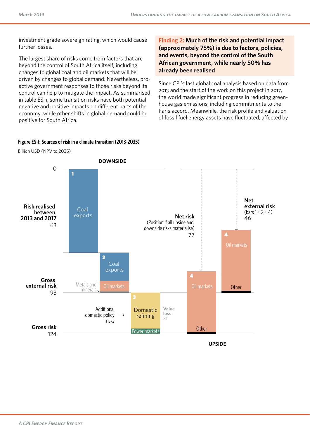investment grade sovereign rating, which would cause further losses.

The largest share of risks come from factors that are beyond the control of South Africa itself, including changes to global coal and oil markets that will be driven by changes to global demand. Nevertheless, proactive government responses to those risks beyond its control can help to mitigate the impact. As summarised in table ES-1, some transition risks have both potential negative and positive impacts on diferent parts of the economy, while other shifts in global demand could be positive for South Africa.

**Finding 2: Much of the risk and potential impact (approximately 75%) is due to factors, policies, and events, beyond the control of the South African government, while nearly 50% has already been realised**

Since CPI's last global coal analysis based on data from 2013 and the start of the work on this project in 2017, the world made significant progress in reducing greenhouse gas emissions, including commitments to the Paris accord. Meanwhile, the risk profile and valuation of fossil fuel energy assets have fluctuated, afected by

# **Figure ES-1: Sources of risk in a climate transition (2013-2035) Sources of risk in a climate transition (2013-2035)**



Billion USD (NPV to 2035)

**UPSIDE**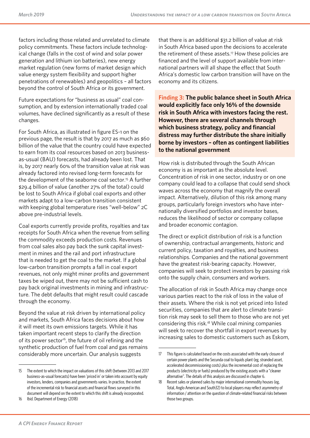factors including those related and unrelated to climate policy commitments. These factors include technological change (falls in the cost of wind and solar power generation and lithium ion batteries), new energy market regulation (new forms of market design which value energy system flexibility and support higher penetrations of renewables) and geopolitics – all factors beyond the control of South Africa or its government.

Future expectations for "business as usual" coal consumption, and by extension internationally traded coal volumes, have declined significantly as a result of these changes.

For South Africa, as illustrated in figure ES-1 on the previous page, the result is that by 2017 as much as \$60 billion of the value that the country could have expected to earn from its coal resources based on 2013 businessas-usual (BAU) forecasts, had already been lost. That is, by 2017 nearly 60% of the transition value at risk was already factored into revised long-term forecasts for the development of the seaborne coal sector.<sup>15</sup> A further \$29.4 billion of value (another 27% of the total) could be lost to South Africa if global coal exports and other markets adapt to a low-carbon transition consistent with keeping global temperature rises "well-below" 2C above pre-industrial levels.

Coal exports currently provide profits, royalties and tax receipts for South Africa when the revenue from selling the commodity exceeds production costs. Revenues from coal sales also pay back the sunk capital investment in mines and the rail and port infrastructure that is needed to get the coal to the market. If a global low-carbon transition prompts a fall in coal export revenues, not only might miner profits and government taxes be wiped out, there may not be sufficient cash to pay back original investments in mining and infrastructure. The debt defaults that might result could cascade through the economy.

Beyond the value at risk driven by international policy and markets, South Africa faces decisions about how it will meet its own emissions targets. While it has taken important recent steps to clarify the direction of its power sector<sup>16</sup>, the future of oil refining and the synthetic production of fuel from coal and gas remains considerably more uncertain. Our analysis suggests

that there is an additional \$31.2 billion of value at risk in South Africa based upon the decisions to accelerate the retirement of these assets.<sup>17</sup> How these policies are financed and the level of support available from international partners will all shape the efect that South Africa's domestic low carbon transition will have on the economy and its citizens.

**Finding 3: The public balance sheet in South Africa would explicitly face only 16% of the downside risk in South Africa with investors facing the rest. However, there are several channels through which business strategy, policy and financial distress may further distribute the share initially borne by investors – often as contingent liabilities to the national government** 

How risk is distributed through the South African economy is as important as the absolute level. Concentration of risk in one sector, industry or on one company could lead to a collapse that could send shock waves across the economy that magnify the overall impact. Alternatively, dilution of this risk among many groups, particularly foreign investors who have internationally diversified portfolios and investor bases, reduces the likelihood of sector or company collapse and broader economic contagion.

The direct or explicit distribution of risk is a function of ownership, contractual arrangements, historic and current policy, taxation and royalties, and business relationships. Companies and the national government have the greatest risk-bearing capacity. However, companies will seek to protect investors by passing risk onto the supply chain, consumers and workers.

The allocation of risk in South Africa may change once various parties react to the risk of loss in the value of their assets. Where the risk is not yet priced into listed securities, companies that are alert to climate transition risk may seek to sell them to those who are not yet considering this risk.<sup>18</sup> While coal mining companies will seek to recover the shortfall in export revenues by increasing sales to domestic customers such as Eskom,

<sup>15</sup> The extent to which the impact on valuations of this shift (between 2013 and 2017 business-as-usual forecasts) have been 'priced in' or taken into account by equity investors, lenders, companies and governments varies. In practice, the extent of the incremental risk to financial assets and financial flows surveyed in this document will depend on the extent to which this shift is already incorporated.

<sup>16</sup> Ibid. Department of Energy (2018)

<sup>17</sup> This figure is calculated based on the costs associated with the early closure of certain power plants and the Secunda coal to liquids plant (eg, stranded asset, accelerated decommissioning costs) plus the incremental cost of replacing the products (electricity or fuels) produced by the existing assets with a "cleaner alternative". The details of this analysis are discussed in chapter 6.

<sup>18</sup> Recent sales or planned sales by major international commodity houses (eg, Total, Anglo American and South32) to local players may reflect asymmetry of information / attention on the question of climate-related financial risks between those two groups.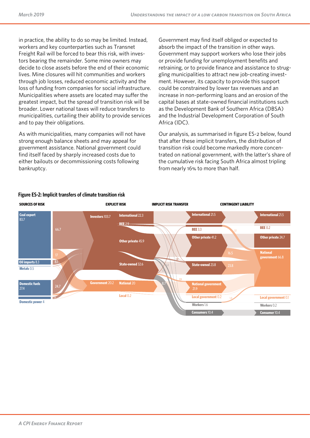in practice, the ability to do so may be limited. Instead, workers and key counterparties such as Transnet Freight Rail will be forced to bear this risk, with investors bearing the remainder. Some mine owners may decide to close assets before the end of their economic lives. Mine closures will hit communities and workers through job losses, reduced economic activity and the loss of funding from companies for social infrastructure. Municipalities where assets are located may suffer the greatest impact, but the spread of transition risk will be broader. Lower national taxes will reduce transfers to municipalities, curtailing their ability to provide services and to pay their obligations.

As with municipalities, many companies will not have strong enough balance sheets and may appeal for government assistance. National government could find itself faced by sharply increased costs due to either bailouts or decommissioning costs following bankruptcy.

Government may find itself obliged or expected to absorb the impact of the transition in other ways. Government may support workers who lose their jobs or provide funding for unemployment benefits and retraining, or to provide finance and assistance to struggling municipalities to attract new job-creating investment. However, its capacity to provide this support could be constrained by lower tax revenues and an increase in non-performing loans and an erosion of the capital bases at state-owned financial institutions such as the Development Bank of Southern Africa (DBSA) and the Industrial Development Corporation of South Africa (IDC).

Our analysis, as summarised in figure ES-2 below, found that after these implicit transfers, the distribution of transition risk could become markedly more concentrated on national government, with the latter's share of the cumulative risk facing South Africa almost tripling from nearly 16% to more than half.



#### **Figure ES-2: Implicit transfers of climate transition risk**

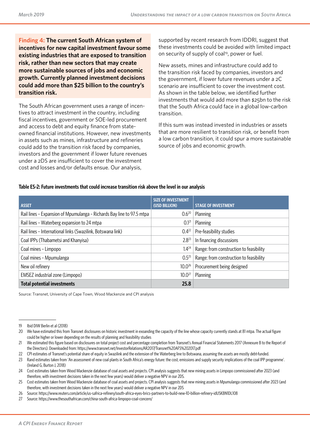**Finding 4: The current South African system of incentives for new capital investment favour some existing industries that are exposed to transition risk, rather than new sectors that may create more sustainable sources of jobs and economic growth. Currently planned investment decisions could add more than \$25 billion to the country's transition risk.** 

The South African government uses a range of incentives to attract investment in the country, including fiscal incentives, government or SOE-led procurement and access to debt and equity finance from stateowned financial institutions. However, new investments in assets such as mines, infrastructure and refineries could add to the transition risk faced by companies, investors and the government if lower future revenues under a 2DS are insufficient to cover the investment cost and losses and/or defaults ensue. Our analysis,

supported by recent research from IDDRI, suggest that these investments could be avoided with limited impact on security of supply of coal<sup>19</sup>, power or fuel.

New assets, mines and infrastructure could add to the transition risk faced by companies, investors and the government, if lower future revenues under a 2C scenario are insufficient to cover the investment cost. As shown in the table below, we identified further investments that would add more than \$25bn to the risk that the South Africa could face in a global low-carbon transition.

If this sum was instead invested in industries or assets that are more resilient to transition risk, or benefit from a low carbon transition, it could spur a more sustainable source of jobs and economic growth.

#### **Table ES-2: Future investments that could increase transition risk above the level in our analysis**

| <b>ASSET</b>                                                          | <b>SIZE OF INVESTMENT</b><br>(USD BILLION) | <b>STAGE OF INVESTMENT</b>              |
|-----------------------------------------------------------------------|--------------------------------------------|-----------------------------------------|
| Rail lines - Expansion of Mpumulanga - Richards Bay line to 97.5 mtpa | $0.6^{20}$                                 | Planning                                |
| Rail lines - Waterberg expansion to 24 mtpa                           | 0.1 <sup>21</sup>                          | Planning                                |
| Rail lines - International links (Swazilink, Botswana link)           | $0.4^{22}$                                 | Pre-feasibility studies                 |
| Coal IPPs (Thabametsi and Khanyisa)                                   | $2.8^{23}$                                 | In financing discussions                |
| Coal mines - Limpopo                                                  | $1.4^{24}$                                 | Range: from construction to feasibility |
| Coal mines - Mpumulanga                                               | $0.5^{25}$                                 | Range: from construction to feasibility |
| New oil refinery                                                      | $10.0^{26}$                                | Procurement being designed              |
| EMSEZ industrial zone (Limpopo)                                       | $10.0^{27}$                                | Planning                                |
| <b>Total potential investments</b>                                    | 25.8                                       |                                         |

Source: Transnet, University of Cape Town, Wood Mackenzie and CPI analysis

<sup>19</sup> Ibid DIW Berlin et al (2018)

<sup>20</sup> We have estimated this from Transnet disclosures on historic investment in exoanding the capacity of the line whose capacity currently stands at 81 mtpa. The actual figure could be higher or lower depending on the results of planning and feasibility studies

<sup>21</sup> We estimated this figure based on disclosures on total project cost and percentage completion from Transnet's Annual Financial Statements 2017 (Annexure B to the Report of the Directors). Downloaded from:<https://www.transnet.net/InvestorRelations/AR2017/Transnet%20AFS%202017.pdf>

<sup>22</sup> CPI estimates of Transnet's potential share of equity in Swazilink and the extension of the Waterberg line to Botswana, assuming the assets are mostly debt-funded.

<sup>23</sup> Rand estimates taken from 'An assessment of new coal plants in South Africa's energy future: the cost, emissions and supply security implications of the coal IPP programme'. (Ireland G, Burton J, 2018)

<sup>24</sup> Cost estimates taken from Wood Mackenzie database of coal assets and projects. CPI analysis suggests that new mining assets in Limpopo commissioned after 2023 (and therefore, with investment decisions taken in the next few years) would deliver a negative NPV in our 2DS.

<sup>25</sup> Cost estimates taken from Wood Mackenzie database of coal assets and projects. CPI analysis suggests that new mining assets in Mpumulanga commissioned after 2023 (and therefore, with investment decisions taken in the next few years) would deliver a negative NPV in our 2DS

<sup>26</sup> Source: <https://www.reuters.com/article/us-safrica-refinery/south-africa-eyes-brics-partners-to-build-new-10-billion-refinery-idUSKBN1DL108>

<sup>27</sup> Source: <https://www.thesouthafrican.com/china-south-africa-limpopo-coal-concern/>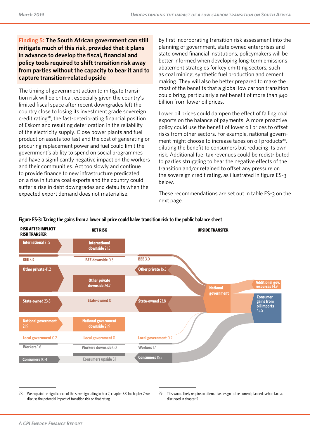**Finding 5: The South African government can still mitigate much of this risk, provided that it plans in advance to develop the fiscal, financial and policy tools required to shift transition risk away from parties without the capacity to bear it and to capture transition-related upside**

The timing of government action to mitigate transition risk will be critical, especially given the country's limited fiscal space after recent downgrades left the country close to losing its investment grade sovereign credit rating<sup>28</sup>, the fast-deteriorating financial position of Eskom and resulting deterioration in the reliability of the electricity supply. Close power plants and fuel production assets too fast and the cost of generating or procuring replacement power and fuel could limit the government's ability to spend on social programmes and have a significantly negative impact on the workers and their communities. Act too slowly and continue to provide finance to new infrastructure predicated on a rise in future coal exports and the country could suffer a rise in debt downgrades and defaults when the expected export demand does not materialise.

By first incorporating transition risk assessment into the planning of government, state owned enterprises and state owned financial institutions, policymakers will be better informed when developing long-term emissions abatement strategies for key emitting sectors, such as coal mining, synthetic fuel production and cement making. They will also be better prepared to make the most of the benefits that a global low carbon transition could bring, particularly a net benefit of more than \$40 billion from lower oil prices.

Lower oil prices could dampen the effect of falling coal exports on the balance of payments. A more proactive policy could use the benefit of lower oil prices to offset risks from other sectors. For example, national government might choose to increase taxes on oil products<sup>29</sup>, diluting the benefit to consumers but reducing its own risk. Additional fuel tax revenues could be redistributed to parties struggling to bear the negative efects of the transition and/or retained to offset any pressure on the sovereign credit rating, as illustrated in figure ES-3 below.

These recommendations are set out in table ES-3 on the next page.



#### **Figure ES-3: Taxing the gains from a lower oil price could halve transition risk to the public balance sheet**

<sup>28</sup> We explain the significance of the sovereign rating in box 2, chapter 3.3. In chapter 7 we discuss the potential impact of transition risk on that rating

<sup>29</sup> This would likely require an alternative design to the current planned carbon tax, as discussed in chapter 5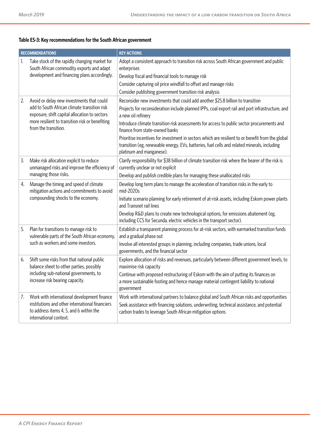#### **Table ES-3: Key recommendations for the South African government**

| <b>RECOMMENDATIONS</b> |                                                                                                                                                                     | <b>KEY ACTIONS</b>                                                                                                                                                                                                                                        |
|------------------------|---------------------------------------------------------------------------------------------------------------------------------------------------------------------|-----------------------------------------------------------------------------------------------------------------------------------------------------------------------------------------------------------------------------------------------------------|
| 1.                     | Take stock of the rapidly changing market for<br>South African commodity exports and adapt                                                                          | Adopt a consistent approach to transition risk across South African government and public<br>enterprises                                                                                                                                                  |
|                        | development and financing plans accordingly.                                                                                                                        | Develop fiscal and financial tools to manage risk                                                                                                                                                                                                         |
|                        |                                                                                                                                                                     | Consider capturing oil price windfall to offset and manage risks                                                                                                                                                                                          |
|                        |                                                                                                                                                                     | Consider publishing government transition risk analysis                                                                                                                                                                                                   |
| 2.                     | Avoid or delay new investments that could                                                                                                                           | Reconsider new investments that could add another \$25.8 billion to transition                                                                                                                                                                            |
|                        | add to South African climate transition risk<br>exposure, shift capital allocation to sectors                                                                       | Projects for reconsideration include planned IPPs, coal export rail and port infrastructure, and<br>a new oil refinery                                                                                                                                    |
|                        | more resilient to transition risk or benefiting<br>from the transition.                                                                                             | Introduce climate transition risk assessments for access to public sector procurements and<br>finance from state-owned banks                                                                                                                              |
|                        |                                                                                                                                                                     | Prioritise incentives for investment in sectors which are resilient to or benefit from the global<br>transition (eg, renewable energy, EVs, batteries, fuel cells and related minerals, including<br>platinum and manganese).                             |
| 3.                     | Make risk allocation explicit to reduce<br>unmanaged risks and improve the efficiency of                                                                            | Clarify responsibility for \$38 billion of climate transition risk where the bearer of the risk is<br>currently unclear or not explicit                                                                                                                   |
|                        | managing those risks.                                                                                                                                               | Develop and publish credible plans for managing these unallocated risks                                                                                                                                                                                   |
| 4.                     | Manage the timing and speed of climate<br>mitigation actions and commitments to avoid                                                                               | Develop long term plans to manage the acceleration of transition risks in the early to<br>mid-2020s                                                                                                                                                       |
|                        | compounding shocks to the economy.                                                                                                                                  | Initiate scenario planning for early retirement of at-risk assets, including Eskom power plants<br>and Transnet rail lines                                                                                                                                |
|                        |                                                                                                                                                                     | Develop R&D plans to create new technological options, for emissions abatement (eg,<br>including CCS for Secunda, electric vehicles in the transport sector).                                                                                             |
| 5.                     | Plan for transitions to manage risk to<br>vulnerable parts of the South African economy,                                                                            | Establish a transparent planning process for at-risk sectors, with earmarked transition funds<br>and a gradual phase out                                                                                                                                  |
|                        | such as workers and some investors.                                                                                                                                 | Involve all interested groups in planning, including companies, trade unions, local<br>governments, and the financial sector                                                                                                                              |
| 6.                     | Shift some risks from that national public<br>balance sheet to other parties, possibly                                                                              | Explore allocation of risks and revenues, particularly between different government levels, to<br>maximise risk capacity                                                                                                                                  |
|                        | including sub-national governments, to<br>increase risk bearing capacity.                                                                                           | Continue with proposed restructuring of Eskom with the aim of putting its finances on<br>a more sustainable footing and hence manage material contingent liability to national<br>government                                                              |
| 7.                     | Work with international development finance<br>institutions and other international financiers<br>to address items 4, 5, and 6 within the<br>international context. | Work with international partners to balance global and South African risks and opportunities<br>Seek assistance with financing solutions, underwriting, technical assistance, and potential<br>carbon trades to leverage South African mitigation options |